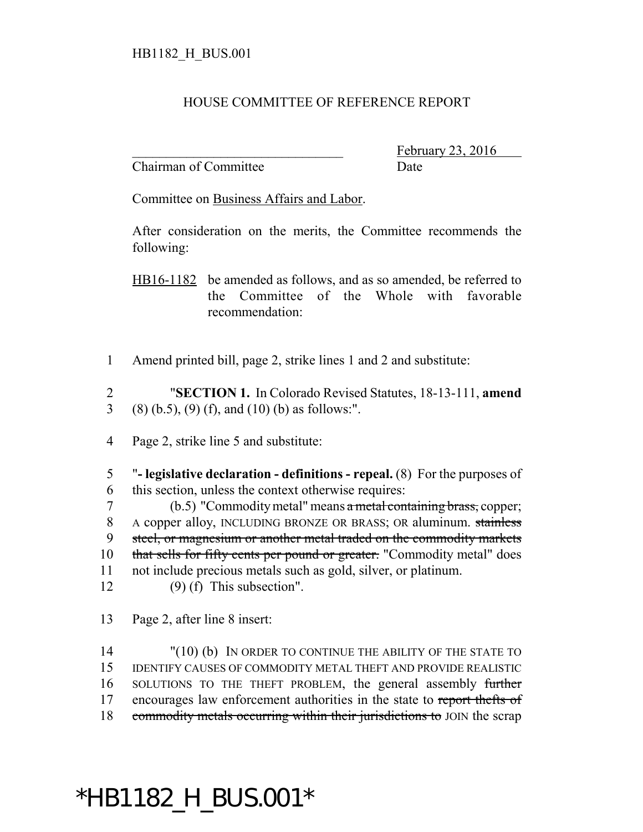## HOUSE COMMITTEE OF REFERENCE REPORT

Chairman of Committee Date

February 23, 2016

Committee on Business Affairs and Labor.

After consideration on the merits, the Committee recommends the following:

HB16-1182 be amended as follows, and as so amended, be referred to the Committee of the Whole with favorable recommendation:

1 Amend printed bill, page 2, strike lines 1 and 2 and substitute:

2 "**SECTION 1.** In Colorado Revised Statutes, 18-13-111, **amend** 3 (8) (b.5), (9) (f), and (10) (b) as follows:".

4 Page 2, strike line 5 and substitute:

5 "**- legislative declaration - definitions - repeal.** (8) For the purposes of 6 this section, unless the context otherwise requires:

7 (b.5) "Commodity metal" means a metal containing brass, copper; 8 A copper alloy, INCLUDING BRONZE OR BRASS; OR aluminum. stainless 9 steel, or magnesium or another metal traded on the commodity markets 10 that sells for fifty cents per pound or greater. "Commodity metal" does 11 not include precious metals such as gold, silver, or platinum.

12 (9) (f) This subsection".

13 Page 2, after line 8 insert:

14 "(10) (b) IN ORDER TO CONTINUE THE ABILITY OF THE STATE TO 15 IDENTIFY CAUSES OF COMMODITY METAL THEFT AND PROVIDE REALISTIC 16 SOLUTIONS TO THE THEFT PROBLEM, the general assembly further 17 encourages law enforcement authorities in the state to report thefts of 18 commodity metals occurring within their jurisdictions to JOIN the scrap

## \*HB1182\_H\_BUS.001\*